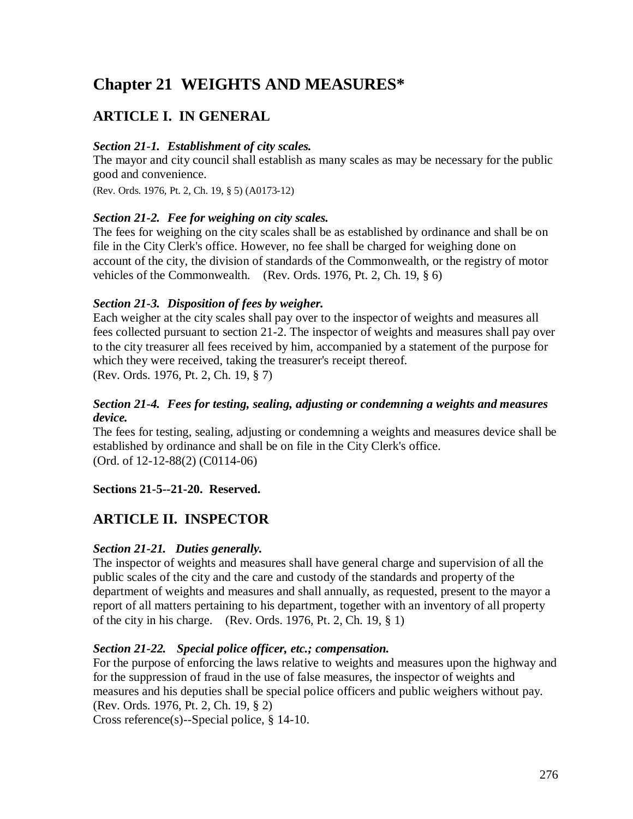# **Chapter 21 WEIGHTS AND MEASURES\***

## **ARTICLE I. IN GENERAL**

#### *Section 21-1. Establishment of city scales.*

The mayor and city council shall establish as many scales as may be necessary for the public good and convenience.

(Rev. Ords. 1976, Pt. 2, Ch. 19, § 5) (A0173-12)

#### *Section 21-2. Fee for weighing on city scales.*

The fees for weighing on the city scales shall be as established by ordinance and shall be on file in the City Clerk's office. However, no fee shall be charged for weighing done on account of the city, the division of standards of the Commonwealth, or the registry of motor vehicles of the Commonwealth. (Rev. Ords. 1976, Pt. 2, Ch. 19, § 6)

#### *Section 21-3. Disposition of fees by weigher.*

Each weigher at the city scales shall pay over to the inspector of weights and measures all fees collected pursuant to section 21-2. The inspector of weights and measures shall pay over to the city treasurer all fees received by him, accompanied by a statement of the purpose for which they were received, taking the treasurer's receipt thereof. (Rev. Ords. 1976, Pt. 2, Ch. 19, § 7)

#### *Section 21-4. Fees for testing, sealing, adjusting or condemning a weights and measures device.*

The fees for testing, sealing, adjusting or condemning a weights and measures device shall be established by ordinance and shall be on file in the City Clerk's office. (Ord. of 12-12-88(2) (C0114-06)

#### **Sections 21-5--21-20. Reserved.**

### **ARTICLE II. INSPECTOR**

#### *Section 21-21. Duties generally.*

The inspector of weights and measures shall have general charge and supervision of all the public scales of the city and the care and custody of the standards and property of the department of weights and measures and shall annually, as requested, present to the mayor a report of all matters pertaining to his department, together with an inventory of all property of the city in his charge. (Rev. Ords. 1976, Pt. 2, Ch. 19, § 1)

#### *Section 21-22. Special police officer, etc.; compensation.*

For the purpose of enforcing the laws relative to weights and measures upon the highway and for the suppression of fraud in the use of false measures, the inspector of weights and measures and his deputies shall be special police officers and public weighers without pay. (Rev. Ords. 1976, Pt. 2, Ch. 19, § 2)

Cross reference(s)--Special police, § 14-10.